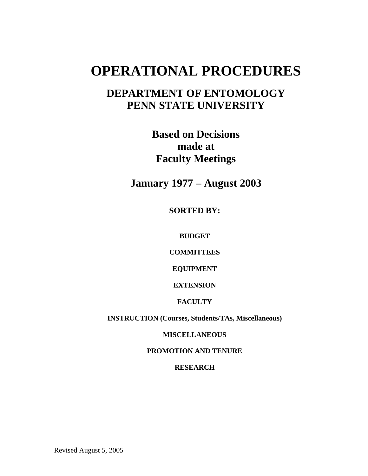# **OPERATIONAL PROCEDURES**

# **DEPARTMENT OF ENTOMOLOGY PENN STATE UNIVERSITY**

**Based on Decisions made at Faculty Meetings** 

**January 1977 – August 2003** 

**SORTED BY:** 

**BUDGET** 

**COMMITTEES** 

**EQUIPMENT** 

**EXTENSION** 

**FACULTY** 

**INSTRUCTION (Courses, Students/TAs, Miscellaneous)** 

**MISCELLANEOUS** 

**PROMOTION AND TENURE** 

**RESEARCH** 

Revised August 5, 2005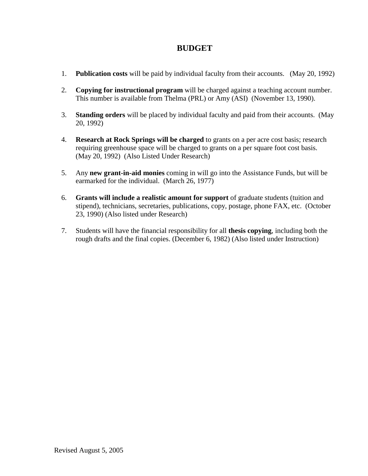### **BUDGET**

- 1. **Publication costs** will be paid by individual faculty from their accounts. (May 20, 1992)
- 2. **Copying for instructional program** will be charged against a teaching account number. This number is available from Thelma (PRL) or Amy (ASI) (November 13, 1990).
- 3. **Standing orders** will be placed by individual faculty and paid from their accounts. (May 20, 1992)
- 4. **Research at Rock Springs will be charged** to grants on a per acre cost basis; research requiring greenhouse space will be charged to grants on a per square foot cost basis. (May 20, 1992) (Also Listed Under Research)
- 5. Any **new grant-in-aid monies** coming in will go into the Assistance Funds, but will be earmarked for the individual. (March 26, 1977)
- 6. **Grants will include a realistic amount for support** of graduate students (tuition and stipend), technicians, secretaries, publications, copy, postage, phone FAX, etc. (October 23, 1990) (Also listed under Research)
- 7. Students will have the financial responsibility for all **thesis copying**, including both the rough drafts and the final copies. (December 6, 1982) (Also listed under Instruction)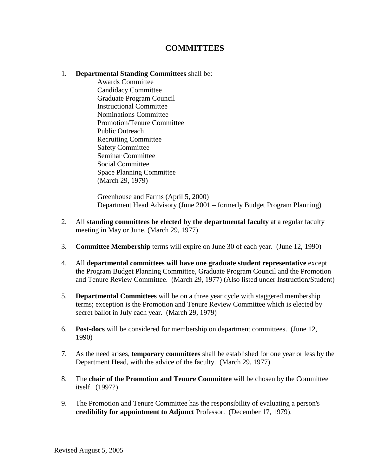## **COMMITTEES**

#### 1. **Departmental Standing Committees** shall be:

 Awards Committee Candidacy Committee Graduate Program Council Instructional Committee Nominations Committee Promotion/Tenure Committee Public Outreach Recruiting Committee Safety Committee Seminar Committee Social Committee Space Planning Committee (March 29, 1979)

 Greenhouse and Farms (April 5, 2000) Department Head Advisory (June 2001 – formerly Budget Program Planning)

- 2. All **standing committees be elected by the departmental faculty** at a regular faculty meeting in May or June. (March 29, 1977)
- 3. **Committee Membership** terms will expire on June 30 of each year. (June 12, 1990)
- 4. All **departmental committees will have one graduate student representative** except the Program Budget Planning Committee, Graduate Program Council and the Promotion and Tenure Review Committee. (March 29, 1977) (Also listed under Instruction/Student)
- 5. **Departmental Committees** will be on a three year cycle with staggered membership terms; exception is the Promotion and Tenure Review Committee which is elected by secret ballot in July each year. (March 29, 1979)
- 6. **Post-docs** will be considered for membership on department committees. (June 12, 1990)
- 7. As the need arises, **temporary committees** shall be established for one year or less by the Department Head, with the advice of the faculty. (March 29, 1977)
- 8. The **chair of the Promotion and Tenure Committee** will be chosen by the Committee itself. (1997?)
- 9. The Promotion and Tenure Committee has the responsibility of evaluating a person's **credibility for appointment to Adjunct** Professor. (December 17, 1979).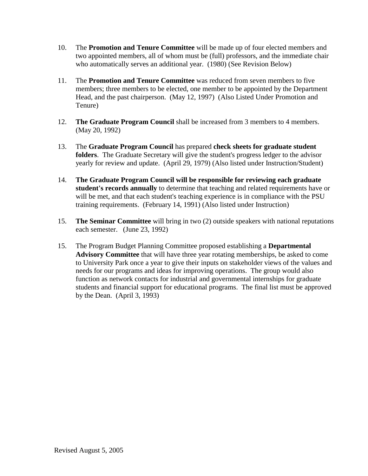- 10. The **Promotion and Tenure Committee** will be made up of four elected members and two appointed members, all of whom must be (full) professors, and the immediate chair who automatically serves an additional year. (1980) (See Revision Below)
- 11. The **Promotion and Tenure Committee** was reduced from seven members to five members; three members to be elected, one member to be appointed by the Department Head, and the past chairperson. (May 12, 1997) (Also Listed Under Promotion and Tenure)
- 12. **The Graduate Program Council** shall be increased from 3 members to 4 members. (May 20, 1992)
- 13. The **Graduate Program Council** has prepared **check sheets for graduate student folders**. The Graduate Secretary will give the student's progress ledger to the advisor yearly for review and update. (April 29, 1979) (Also listed under Instruction/Student)
- 14. **The Graduate Program Council will be responsible for reviewing each graduate student's records annually** to determine that teaching and related requirements have or will be met, and that each student's teaching experience is in compliance with the PSU training requirements. (February 14, 1991) (Also listed under Instruction)
- 15. **The Seminar Committee** will bring in two (2) outside speakers with national reputations each semester. (June 23, 1992)
- 15. The Program Budget Planning Committee proposed establishing a **Departmental Advisory Committee** that will have three year rotating memberships, be asked to come to University Park once a year to give their inputs on stakeholder views of the values and needs for our programs and ideas for improving operations. The group would also function as network contacts for industrial and governmental internships for graduate students and financial support for educational programs. The final list must be approved by the Dean. (April 3, 1993)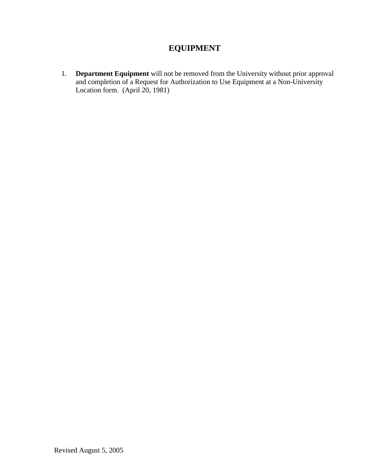# **EQUIPMENT**

 1. **Department Equipment** will not be removed from the University without prior approval and completion of a Request for Authorization to Use Equipment at a Non-University Location form. (April 20, 1981)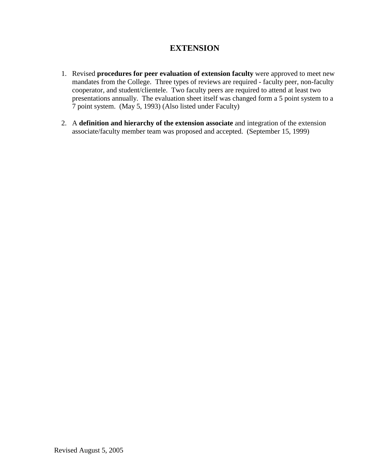# **EXTENSION**

- 1. Revised **procedures for peer evaluation of extension faculty** were approved to meet new mandates from the College. Three types of reviews are required - faculty peer, non-faculty cooperator, and student/clientele. Two faculty peers are required to attend at least two presentations annually. The evaluation sheet itself was changed form a 5 point system to a 7 point system. (May 5, 1993) (Also listed under Faculty)
- 2. A **definition and hierarchy of the extension associate** and integration of the extension associate/faculty member team was proposed and accepted. (September 15, 1999)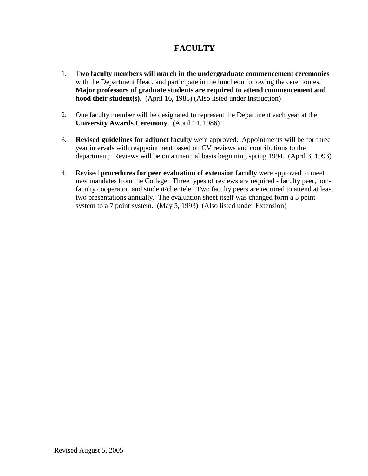# **FACULTY**

- 1. T**wo faculty members will march in the undergraduate commencement ceremonies** with the Department Head, and participate in the luncheon following the ceremonies. **Major professors of graduate students are required to attend commencement and hood their student(s).** (April 16, 1985) (Also listed under Instruction)
- 2. One faculty member will be designated to represent the Department each year at the **University Awards Ceremony**. (April 14, 1986)
- 3. **Revised guidelines for adjunct faculty** were approved. Appointments will be for three year intervals with reappointment based on CV reviews and contributions to the department; Reviews will be on a triennial basis beginning spring 1994. (April 3, 1993)
- 4. Revised **procedures for peer evaluation of extension faculty** were approved to meet new mandates from the College. Three types of reviews are required - faculty peer, nonfaculty cooperator, and student/clientele. Two faculty peers are required to attend at least two presentations annually. The evaluation sheet itself was changed form a 5 point system to a 7 point system. (May 5, 1993) (Also listed under Extension)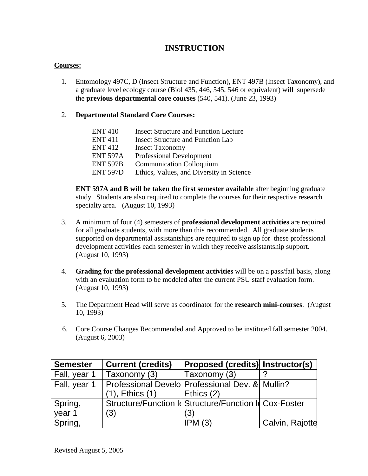# **INSTRUCTION**

#### **Courses:**

 1. Entomology 497C, D (Insect Structure and Function), ENT 497B (Insect Taxonomy), and a graduate level ecology course (Biol 435, 446, 545, 546 or equivalent) will supersede the **previous departmental core courses** (540, 541). (June 23, 1993)

#### 2. **Departmental Standard Core Courses:**

| <b>ENT 410</b>  | <b>Insect Structure and Function Lecture</b> |
|-----------------|----------------------------------------------|
| <b>ENT411</b>   | <b>Insect Structure and Function Lab</b>     |
| <b>ENT 412</b>  | <b>Insect Taxonomy</b>                       |
| <b>ENT 597A</b> | <b>Professional Development</b>              |
| <b>ENT 597B</b> | <b>Communication Colloquium</b>              |
| <b>ENT 597D</b> | Ethics, Values, and Diversity in Science     |
|                 |                                              |

 **ENT 597A and B will be taken the first semester available** after beginning graduate study. Students are also required to complete the courses for their respective research specialty area. (August 10, 1993)

- 3. A minimum of four (4) semesters of **professional development activities** are required for all graduate students, with more than this recommended. All graduate students supported on departmental assistantships are required to sign up for these professional development activities each semester in which they receive assistantship support. (August 10, 1993)
- 4. **Grading for the professional development activities** will be on a pass/fail basis, along with an evaluation form to be modeled after the current PSU staff evaluation form. (August 10, 1993)
- 5. The Department Head will serve as coordinator for the **research mini-courses**. (August 10, 1993)
- 6. Core Course Changes Recommended and Approved to be instituted fall semester 2004. (August 6, 2003)

| <b>Semester</b> | <b>Current (credits)</b>                        | <b>Proposed (credits) Instructor(s)</b>                |                 |
|-----------------|-------------------------------------------------|--------------------------------------------------------|-----------------|
| Fall, year 1    | Taxonomy (3)                                    | Taxonomy (3)                                           |                 |
| Fall, year 1    | Professional Develo Professional Dev. & Mullin? |                                                        |                 |
|                 | $(1)$ , Ethics $(1)$                            | Ethics (2)                                             |                 |
| Spring,         |                                                 | Structure/Function Id Structure/Function Id Cox-Foster |                 |
| year 1          | (3)                                             | (3)                                                    |                 |
| Spring,         |                                                 | IPM(3)                                                 | Calvin, Rajotte |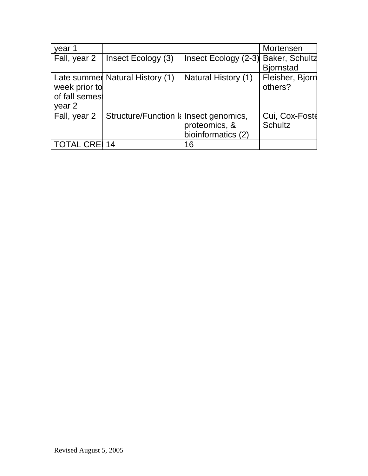| year 1                                    |                                       |                                     | Mortensen                        |
|-------------------------------------------|---------------------------------------|-------------------------------------|----------------------------------|
| Fall, year 2                              | Insect Ecology (3)                    | Insect Ecology (2-3) Baker, Schultz |                                  |
|                                           |                                       |                                     | <b>Bjornstad</b>                 |
| week prior to<br>of fall semes!<br>year 2 | Late summer Natural History (1)       | <b>Natural History (1)</b>          | Fleisher, Bjorn<br>others?       |
| Fall, year 2                              | Structure/Function I Insect genomics, | proteomics, &<br>bioinformatics (2) | Cui, Cox-Foste<br><b>Schultz</b> |
| <b>TOTAL CREI 14</b>                      |                                       | 16                                  |                                  |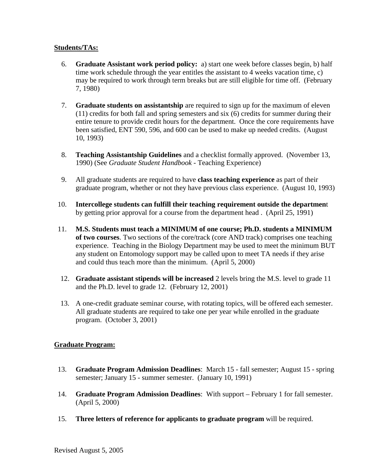#### **Students/TAs:**

- 6. **Graduate Assistant work period policy:** a) start one week before classes begin, b) half time work schedule through the year entitles the assistant to 4 weeks vacation time, c) may be required to work through term breaks but are still eligible for time off. (February 7, 1980)
- 7. **Graduate students on assistantship** are required to sign up for the maximum of eleven (11) credits for both fall and spring semesters and six (6) credits for summer during their entire tenure to provide credit hours for the department. Once the core requirements have been satisfied, ENT 590, 596, and 600 can be used to make up needed credits. (August 10, 1993)
- 8. **Teaching Assistantship Guidelines** and a checklist formally approved. (November 13, 1990) (See *Graduate Student Handbook* - Teaching Experience)
- 9. All graduate students are required to have **class teaching experience** as part of their graduate program, whether or not they have previous class experience. (August 10, 1993)
- 10. **Intercollege students can fulfill their teaching requirement outside the departmen**t by getting prior approval for a course from the department head . (April 25, 1991)
- 11. **M.S. Students must teach a MINIMUM of one course; Ph.D. students a MINIMUM of two courses**. Two sections of the core/track (core AND track) comprises one teaching experience. Teaching in the Biology Department may be used to meet the minimum BUT any student on Entomology support may be called upon to meet TA needs if they arise and could thus teach more than the minimum. (April 5, 2000)
- 12. **Graduate assistant stipends will be increased** 2 levels bring the M.S. level to grade 11 and the Ph.D. level to grade 12. (February 12, 2001)
- 13. A one-credit graduate seminar course, with rotating topics, will be offered each semester. All graduate students are required to take one per year while enrolled in the graduate program. (October 3, 2001)

#### **Graduate Program:**

- 13. **Graduate Program Admission Deadlines**: March 15 fall semester; August 15 spring semester; January 15 - summer semester. (January 10, 1991)
- 14. **Graduate Program Admission Deadlines**: With support February 1 for fall semester. (April 5, 2000)
- 15. **Three letters of reference for applicants to graduate program** will be required.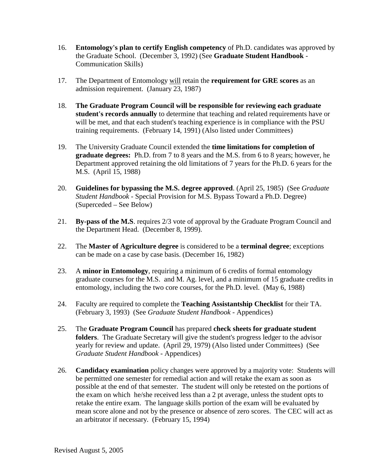- 16. **Entomology's plan to certify English competency** of Ph.D. candidates was approved by the Graduate School. (December 3, 1992) (See **Graduate Student Handbook** - Communication Skills)
- 17. The Department of Entomology will retain the **requirement for GRE scores** as an admission requirement. (January 23, 1987)
- 18. **The Graduate Program Council will be responsible for reviewing each graduate student's records annually** to determine that teaching and related requirements have or will be met, and that each student's teaching experience is in compliance with the PSU training requirements. (February 14, 1991) (Also listed under Committees)
- 19. The University Graduate Council extended the **time limitations for completion of graduate degrees:** Ph.D. from 7 to 8 years and the M.S. from 6 to 8 years; however, he Department approved retaining the old limitations of 7 years for the Ph.D. 6 years for the M.S. (April 15, 1988)
- 20. **Guidelines for bypassing the M.S. degree approved**. (April 25, 1985) (See *Graduate Student Handbook* - Special Provision for M.S. Bypass Toward a Ph.D. Degree) (Superceded – See Below)
- 21. **By-pass of the M.S**. requires 2/3 vote of approval by the Graduate Program Council and the Department Head. (December 8, 1999).
- 22. The **Master of Agriculture degree** is considered to be a **terminal degree**; exceptions can be made on a case by case basis. (December 16, 1982)
- 23. A **minor in Entomology**, requiring a minimum of 6 credits of formal entomology graduate courses for the M.S. and M. Ag. level, and a minimum of 15 graduate credits in entomology, including the two core courses, for the Ph.D. level. (May 6, 1988)
- 24. Faculty are required to complete the **Teaching Assistantship Checklist** for their TA. (February 3, 1993) (See *Graduate Student Handbook* - Appendices)
- 25. The **Graduate Program Council** has prepared **check sheets for graduate student folders**. The Graduate Secretary will give the student's progress ledger to the advisor yearly for review and update. (April 29, 1979) (Also listed under Committees) (See *Graduate Student Handbook* - Appendices)
- 26. **Candidacy examination** policy changes were approved by a majority vote: Students will be permitted one semester for remedial action and will retake the exam as soon as possible at the end of that semester. The student will only be retested on the portions of the exam on which he/she received less than a 2 pt average, unless the student opts to retake the entire exam. The language skills portion of the exam will be evaluated by mean score alone and not by the presence or absence of zero scores. The CEC will act as an arbitrator if necessary. (February 15, 1994)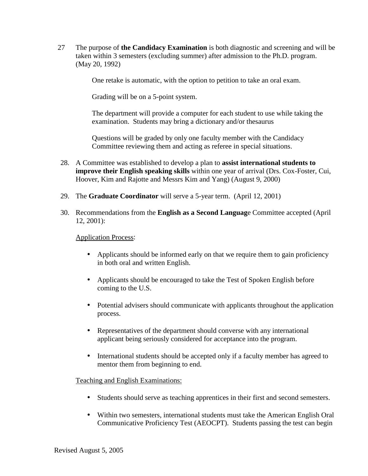27 The purpose of **the Candidacy Examination** is both diagnostic and screening and will be taken within 3 semesters (excluding summer) after admission to the Ph.D. program. (May 20, 1992)

One retake is automatic, with the option to petition to take an oral exam.

Grading will be on a 5-point system.

The department will provide a computer for each student to use while taking the examination. Students may bring a dictionary and/or thesaurus

Questions will be graded by only one faculty member with the Candidacy Committee reviewing them and acting as referee in special situations.

- 28. A Committee was established to develop a plan to **assist international students to improve their English speaking skills** within one year of arrival (Drs. Cox-Foster, Cui, Hoover, Kim and Rajotte and Messrs Kim and Yang) (August 9, 2000)
- 29. The **Graduate Coordinator** will serve a 5-year term. (April 12, 2001)
- 30. Recommendations from the **English as a Second Languag**e Committee accepted (April 12, 2001):

Application Process:

- Applicants should be informed early on that we require them to gain proficiency in both oral and written English.
- Applicants should be encouraged to take the Test of Spoken English before coming to the U.S.
- Potential advisers should communicate with applicants throughout the application process.
- Representatives of the department should converse with any international applicant being seriously considered for acceptance into the program.
- International students should be accepted only if a faculty member has agreed to mentor them from beginning to end.

Teaching and English Examinations:

- Students should serve as teaching apprentices in their first and second semesters.
- Within two semesters, international students must take the American English Oral Communicative Proficiency Test (AEOCPT). Students passing the test can begin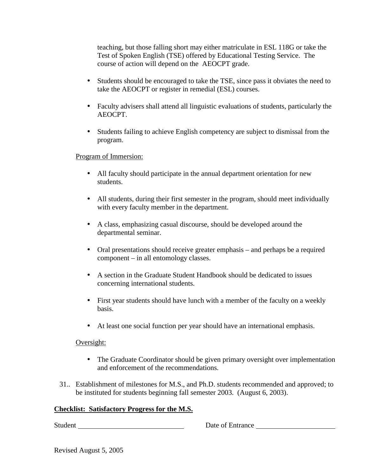teaching, but those falling short may either matriculate in ESL 118G or take the Test of Spoken English (TSE) offered by Educational Testing Service. The course of action will depend on the AEOCPT grade.

- Students should be encouraged to take the TSE, since pass it obviates the need to take the AEOCPT or register in remedial (ESL) courses.
- Faculty advisers shall attend all linguistic evaluations of students, particularly the AEOCPT.
- Students failing to achieve English competency are subject to dismissal from the program.

#### Program of Immersion:

- All faculty should participate in the annual department orientation for new students.
- All students, during their first semester in the program, should meet individually with every faculty member in the department.
- A class, emphasizing casual discourse, should be developed around the departmental seminar.
- Oral presentations should receive greater emphasis and perhaps be a required component – in all entomology classes.
- A section in the Graduate Student Handbook should be dedicated to issues concerning international students.
- First year students should have lunch with a member of the faculty on a weekly basis.
- At least one social function per year should have an international emphasis.

#### Oversight:

- The Graduate Coordinator should be given primary oversight over implementation and enforcement of the recommendations.
- 31.. Establishment of milestones for M.S., and Ph.D. students recommended and approved; to be instituted for students beginning fall semester 2003. (August 6, 2003).

#### **Checklist: Satisfactory Progress for the M.S.**

Student Date of Entrance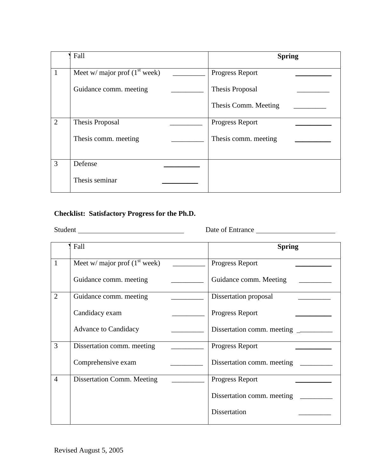|                | Fall                            | <b>Spring</b>          |
|----------------|---------------------------------|------------------------|
|                | Meet w/ major prof $(1st week)$ | Progress Report        |
|                | Guidance comm. meeting          | <b>Thesis Proposal</b> |
|                |                                 | Thesis Comm. Meeting   |
| $\overline{2}$ | Thesis Proposal                 | <b>Progress Report</b> |
|                | Thesis comm. meeting            | Thesis comm. meeting   |
| 3              | Defense                         |                        |
|                | Thesis seminar                  |                        |

### **Checklist: Satisfactory Progress for the Ph.D.**

Student **Date of Entrance** Date of Entrance

|                | Fall                            | <b>Spring</b>              |
|----------------|---------------------------------|----------------------------|
| 1              | Meet w/ major prof $(1st week)$ | Progress Report            |
|                | Guidance comm. meeting          | Guidance comm. Meeting     |
| $\overline{2}$ | Guidance comm. meeting          | Dissertation proposal      |
|                | Candidacy exam                  | Progress Report            |
|                | <b>Advance to Candidacy</b>     |                            |
| 3              | Dissertation comm. meeting      | Progress Report            |
|                | Comprehensive exam              | Dissertation comm. meeting |
| $\overline{4}$ | Dissertation Comm. Meeting      | Progress Report            |
|                |                                 | Dissertation comm. meeting |
|                |                                 | Dissertation               |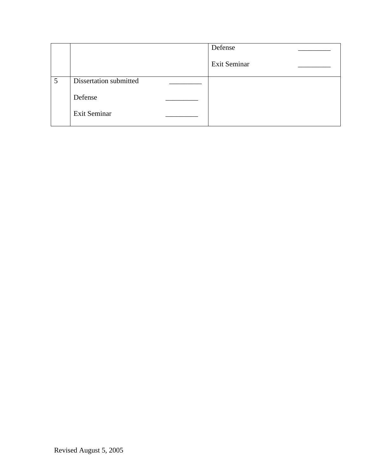|   |                        | Defense      |
|---|------------------------|--------------|
|   |                        | Exit Seminar |
| 5 | Dissertation submitted |              |
|   | Defense                |              |
|   | Exit Seminar           |              |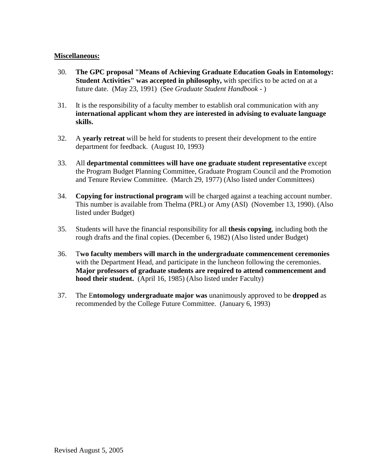#### **Miscellaneous:**

- 30. **The GPC proposal "Means of Achieving Graduate Education Goals in Entomology: Student Activities'' was accepted in philosophy,** with specifics to be acted on at a future date. (May 23, 1991) (See *Graduate Student Handbook* - )
- 31. It is the responsibility of a faculty member to establish oral communication with any **international applicant whom they are interested in advising to evaluate language skills.**
- 32. A **yearly retreat** will be held for students to present their development to the entire department for feedback. (August 10, 1993)
- 33. All **departmental committees will have one graduate student representative** except the Program Budget Planning Committee, Graduate Program Council and the Promotion and Tenure Review Committee. (March 29, 1977) (Also listed under Committees)
- 34. **Copying for instructional program** will be charged against a teaching account number. This number is available from Thelma (PRL) or Amy (ASI) (November 13, 1990). (Also listed under Budget)
- 35. Students will have the financial responsibility for all **thesis copying**, including both the rough drafts and the final copies. (December 6, 1982) (Also listed under Budget)
- 36. T**wo faculty members will march in the undergraduate commencement ceremonies** with the Department Head, and participate in the luncheon following the ceremonies. **Major professors of graduate students are required to attend commencement and hood their student.** (April 16, 1985) (Also listed under Faculty)
- 37. The E**ntomology undergraduate major was** unanimously approved to be **dropped** as recommended by the College Future Committee. (January 6, 1993)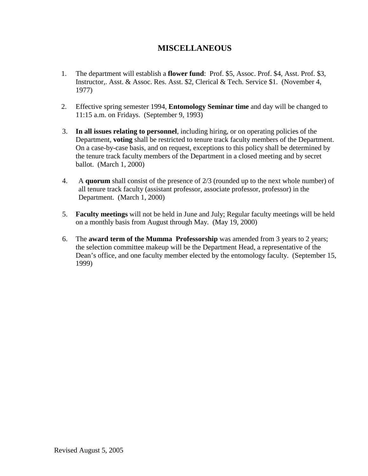# **MISCELLANEOUS**

- 1. The department will establish a **flower fund**: Prof. \$5, Assoc. Prof. \$4, Asst. Prof. \$3, Instructor,. Asst. & Assoc. Res. Asst. \$2, Clerical & Tech. Service \$1. (November 4, 1977)
- 2. Effective spring semester 1994, **Entomology Seminar time** and day will be changed to 11:15 a.m. on Fridays. (September 9, 1993)
- 3. **In all issues relating to personnel**, including hiring, or on operating policies of the Department, **voting** shall be restricted to tenure track faculty members of the Department. On a case-by-case basis, and on request, exceptions to this policy shall be determined by the tenure track faculty members of the Department in a closed meeting and by secret ballot. (March 1, 2000)
- 4. A **quorum** shall consist of the presence of 2/3 (rounded up to the next whole number) of all tenure track faculty (assistant professor, associate professor, professor) in the Department. (March 1, 2000)
- 5. **Faculty meetings** will not be held in June and July; Regular faculty meetings will be held on a monthly basis from August through May. (May 19, 2000)
- 6. The **award term of the Mumma Professorship** was amended from 3 years to 2 years; the selection committee makeup will be the Department Head, a representative of the Dean's office, and one faculty member elected by the entomology faculty. (September 15, 1999)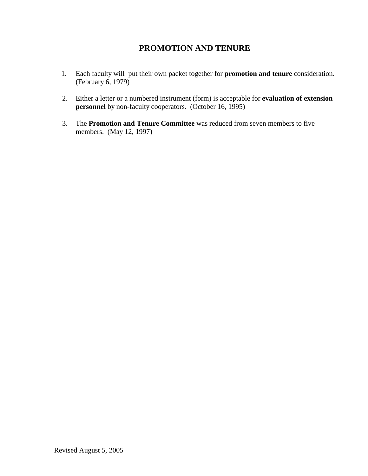# **PROMOTION AND TENURE**

- 1. Each faculty will put their own packet together for **promotion and tenure** consideration. (February 6, 1979)
- 2. Either a letter or a numbered instrument (form) is acceptable for **evaluation of extension personnel** by non-faculty cooperators. (October 16, 1995)
- 3. The **Promotion and Tenure Committee** was reduced from seven members to five members. (May 12, 1997)